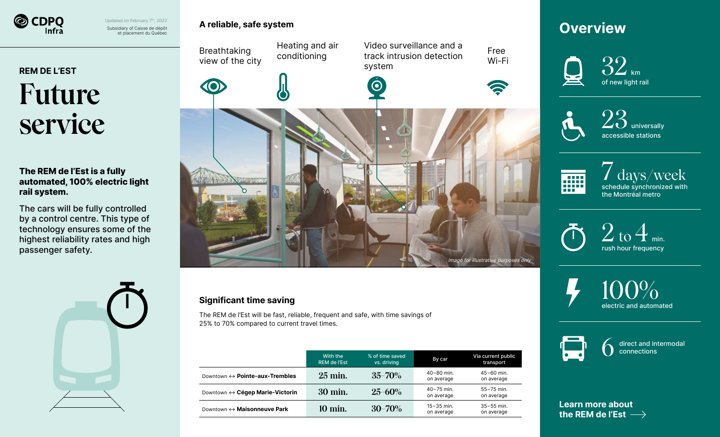

Subsidiary of Caisse de dépôt et placement du Québec Updated on February 7<sup>th</sup>, 2022

## **REM DE L'EST Future service**

#### **The REM de l'Est is a fully automated, 100% electric light rail system.**

The cars will be fully controlled by a control centre. This type of technology ensures some of the highest reliability rates and high passenger safety.





#### **Significant time saving**

The REM de l'Est will be fast, reliable, frequent and safe, with time savings of 25% to 70% compared to current travel times.

|                                                | With the<br><b>REM de l'Est</b> | % of time saved<br>vs. driving | By car                       | Via current public<br>transport |
|------------------------------------------------|---------------------------------|--------------------------------|------------------------------|---------------------------------|
| Downtown $\leftrightarrow$ Pointe-aux-Trembles | $25 \text{ min.}$               | $35 - 70\%$                    | $40 - 80$ min.<br>on average | $45 - 60$ min.<br>on average    |
| Downtown ↔ Cégep Marie-Victorin                | 30 min.                         | $25 - 60\%$                    | $40 - 75$ min.<br>on average | $55 - 75$ min.<br>on average    |
| Downtown ↔ Maisonneuve Park                    | $10 \text{ min.}$               | $30 - 70\%$                    | $15 - 35$ min.<br>on average | $35 - 55$ min.<br>on average    |

## **Overview**







schedule synchronized with the Montréal metro



100% electric and automated



Image for illustrative purposes only

Free Wi-Fi

> direct and intermodal connections

**[Learn more about](https://cdpqinfra.com/en/rem-est) the REM de l'Est**

#### **A reliable, safe system**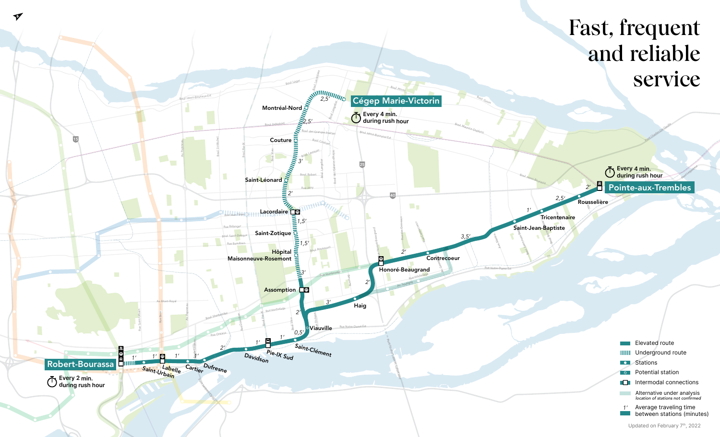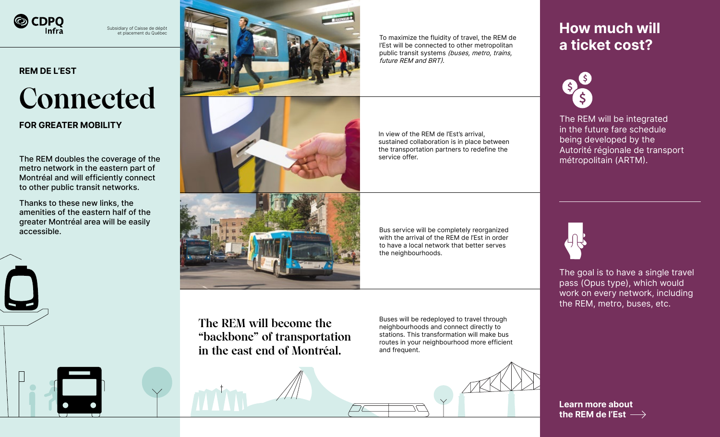

Subsidiary of Caisse de dépôt et placement du Québec

#### **REM DE L'EST**

# **Connected**

#### **FOR GREATER MOBILITY**

The REM doubles the coverage of the metropolitain (ARTM). metro network in the eastern part of Montréal and will efficiently connect to other public transit networks.

Thanks to these new links, the amenities of the eastern half of the greater Montréal area will be easily accessible.





To maximize the fluidity of travel, the REM de l'Est will be connected to other metropolitan public transit systems (buses, metro, trains, future REM and BRT).

In view of the REM de l'Est's arrival, sustained collaboration is in place between the transportation partners to redefine the service offer.



Bus service will be completely reorganized with the arrival of the REM de l'Est in order to have a local network that better serves the neighbourhoods.

**How much will a ticket cost?**



The REM will be integrated in the future fare schedule being developed by the Autorité régionale de transport



The goal is to have a single travel pass (Opus type), which would work on every network, including the REM, metro, buses, etc.

**The REM will become the "backbone" of transportation in the east end of Montréal.** 

Buses will be redeployed to travel through neighbourhoods and connect directly to stations. This transformation will make bus routes in your neighbourhood more efficient and frequent.

![](_page_2_Picture_20.jpeg)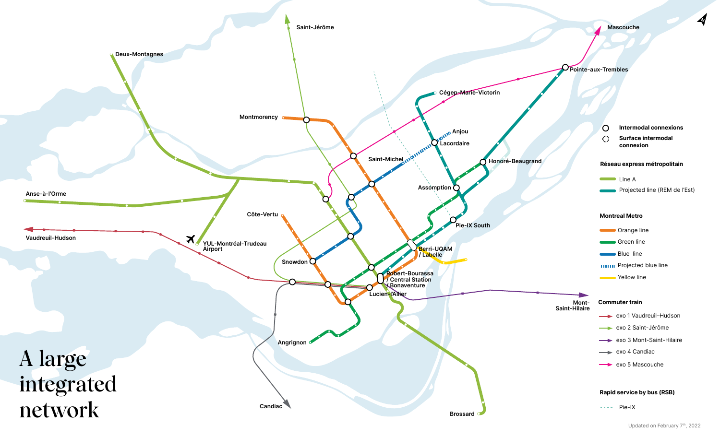![](_page_3_Figure_0.jpeg)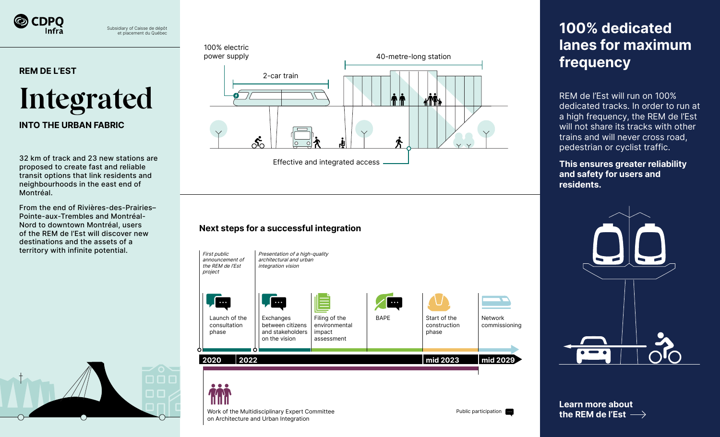![](_page_4_Picture_0.jpeg)

Subsidiary of Caisse de dépôt et placement du Québec

#### **REM DE L'EST**

![](_page_4_Picture_3.jpeg)

#### **INTO THE URBAN FABRIC**

32 km of track and 23 new stations are proposed to create fast and reliable transit options that link residents and neighbourhoods in the east end of Montréal.

From the end of Rivières-des-Prairies– Pointe-aux-Trembles and Montréal-Nord to downtown Montréal, users of the REM de l'Est will discover new destinations and the assets of a territory with infinite potential.

![](_page_4_Picture_7.jpeg)

### 100% electric

![](_page_4_Figure_9.jpeg)

#### **Next steps for a successful integration**

![](_page_4_Picture_11.jpeg)

## **100% dedicated lanes for maximum frequency**

REM de l'Est will run on 100% dedicated tracks. In order to run at a high frequency, the REM de l'Est will not share its tracks with other trains and will never cross road, pedestrian or cyclist traffic.

**This ensures greater reliability and safety for users and residents.**

![](_page_4_Picture_15.jpeg)

**[Learn more about](https://cdpqinfra.com/en/rem-est) the REM de l'Est**

Work of the Multidisciplinary Expert Committee on Architecture and Urban Integration